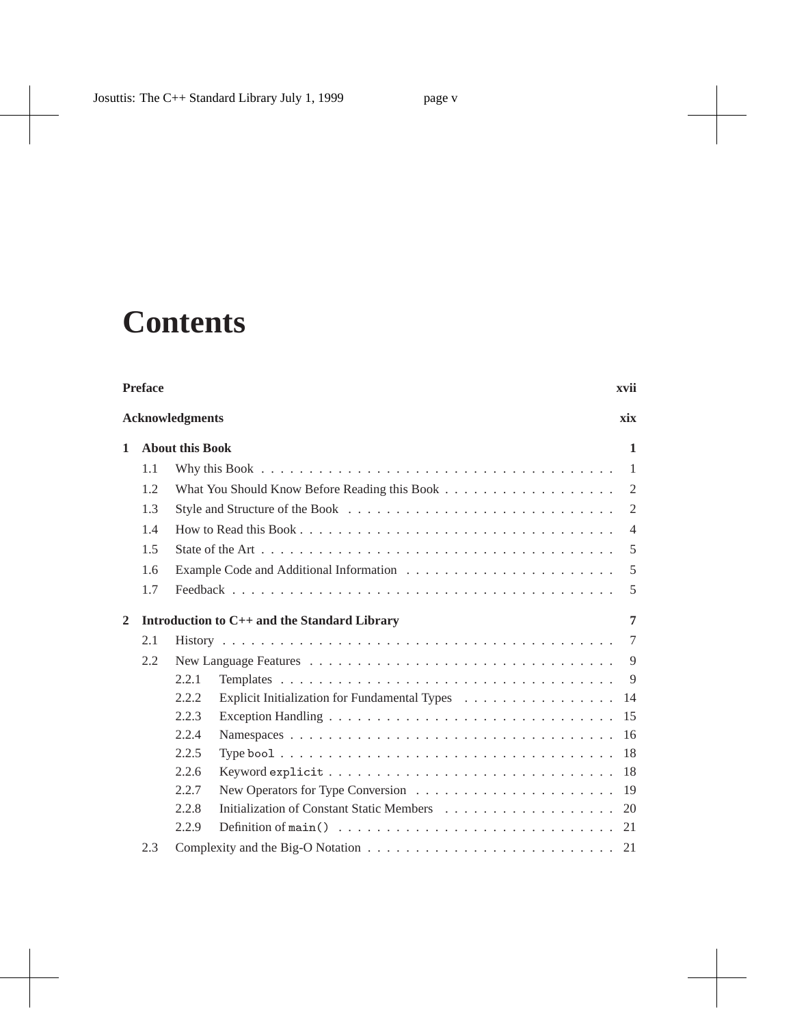# **Contents**

|              | <b>Preface</b><br>xvii |                                                                |                                               |  |                |  |  |  |  |  |
|--------------|------------------------|----------------------------------------------------------------|-----------------------------------------------|--|----------------|--|--|--|--|--|
|              |                        | <b>Acknowledgments</b>                                         |                                               |  | xix            |  |  |  |  |  |
| $\mathbf{1}$ |                        | <b>About this Book</b>                                         |                                               |  |                |  |  |  |  |  |
|              | 1.1                    |                                                                |                                               |  | $\overline{1}$ |  |  |  |  |  |
|              | 1.2                    |                                                                |                                               |  | 2              |  |  |  |  |  |
|              | 1.3                    |                                                                |                                               |  | 2              |  |  |  |  |  |
|              | 1.4                    |                                                                |                                               |  | $\overline{4}$ |  |  |  |  |  |
|              | 1.5                    |                                                                |                                               |  | 5              |  |  |  |  |  |
|              | 1.6                    |                                                                |                                               |  | 5              |  |  |  |  |  |
|              | 1.7                    |                                                                |                                               |  | 5              |  |  |  |  |  |
| $\mathbf{2}$ |                        | $\overline{7}$<br>Introduction to C++ and the Standard Library |                                               |  |                |  |  |  |  |  |
|              | 2.1                    |                                                                |                                               |  | 7              |  |  |  |  |  |
|              | 2.2                    |                                                                |                                               |  | 9              |  |  |  |  |  |
|              |                        | 2.2.1                                                          |                                               |  | $\overline{9}$ |  |  |  |  |  |
|              |                        | 2.2.2                                                          | Explicit Initialization for Fundamental Types |  | 14             |  |  |  |  |  |
|              |                        | 2.2.3                                                          |                                               |  | 15             |  |  |  |  |  |
|              |                        | 2.2.4                                                          |                                               |  | 16             |  |  |  |  |  |
|              |                        | 2.2.5                                                          |                                               |  | 18             |  |  |  |  |  |
|              |                        | 2.2.6                                                          |                                               |  |                |  |  |  |  |  |
|              |                        | 2.2.7                                                          |                                               |  |                |  |  |  |  |  |
|              |                        | 2.2.8                                                          | Initialization of Constant Static Members 20  |  |                |  |  |  |  |  |
|              |                        | 2.2.9                                                          |                                               |  |                |  |  |  |  |  |
|              | 2.3                    |                                                                |                                               |  |                |  |  |  |  |  |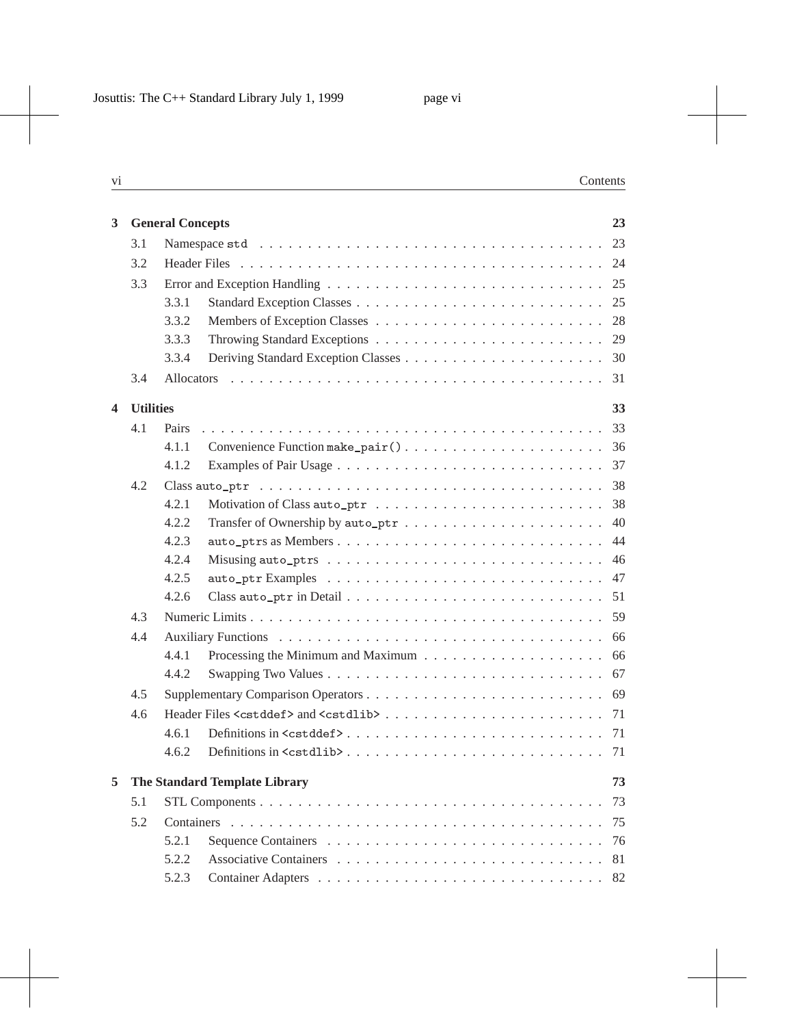| $3^{\circ}$ |                  | 23<br><b>General Concepts</b> |                                                                                |    |  |  |  |  |  |
|-------------|------------------|-------------------------------|--------------------------------------------------------------------------------|----|--|--|--|--|--|
|             | 3.1              |                               |                                                                                | 23 |  |  |  |  |  |
|             | 3.2              |                               |                                                                                | 24 |  |  |  |  |  |
|             | 3.3              |                               |                                                                                | 25 |  |  |  |  |  |
|             |                  | 3.3.1                         |                                                                                | 25 |  |  |  |  |  |
|             |                  | 3.3.2                         |                                                                                | 28 |  |  |  |  |  |
|             |                  | 3.3.3                         |                                                                                | 29 |  |  |  |  |  |
|             |                  | 3.3.4                         |                                                                                | 30 |  |  |  |  |  |
|             | 3.4              | <b>Allocators</b>             |                                                                                | 31 |  |  |  |  |  |
| 4           | <b>Utilities</b> |                               |                                                                                | 33 |  |  |  |  |  |
|             | 4.1              | Pairs                         |                                                                                | 33 |  |  |  |  |  |
|             |                  | 4.1.1                         |                                                                                |    |  |  |  |  |  |
|             |                  | 4.1.2                         |                                                                                |    |  |  |  |  |  |
|             | 4.2              |                               |                                                                                | 38 |  |  |  |  |  |
|             |                  | 4.2.1                         |                                                                                | 38 |  |  |  |  |  |
|             |                  | 4.2.2                         |                                                                                | 40 |  |  |  |  |  |
|             |                  | 4.2.3                         | auto_ptrs as Members                                                           | 44 |  |  |  |  |  |
|             |                  | 4.2.4                         |                                                                                | 46 |  |  |  |  |  |
|             |                  | 4.2.5                         |                                                                                | 47 |  |  |  |  |  |
|             |                  | 4.2.6                         |                                                                                | 51 |  |  |  |  |  |
|             | 4.3              |                               |                                                                                | 59 |  |  |  |  |  |
|             | 4.4              |                               |                                                                                |    |  |  |  |  |  |
|             |                  | 4.4.1                         | Processing the Minimum and Maximum $\dots \dots \dots \dots \dots \dots \dots$ | 66 |  |  |  |  |  |
|             |                  | 4.4.2                         |                                                                                | 67 |  |  |  |  |  |
|             | 4.5              |                               |                                                                                | 69 |  |  |  |  |  |
|             | 4.6              |                               |                                                                                | 71 |  |  |  |  |  |
|             |                  | 4.6.1                         | Definitions in <cstddef></cstddef>                                             | 71 |  |  |  |  |  |
|             |                  | 4.6.2                         |                                                                                | 71 |  |  |  |  |  |
| 5           |                  |                               | <b>The Standard Template Library</b>                                           | 73 |  |  |  |  |  |
|             | 5.1              |                               |                                                                                | 73 |  |  |  |  |  |
|             | 5.2              |                               |                                                                                | 75 |  |  |  |  |  |
|             |                  | 5.2.1                         |                                                                                | 76 |  |  |  |  |  |
|             |                  | 5.2.2                         |                                                                                |    |  |  |  |  |  |
|             |                  | 5.2.3                         |                                                                                |    |  |  |  |  |  |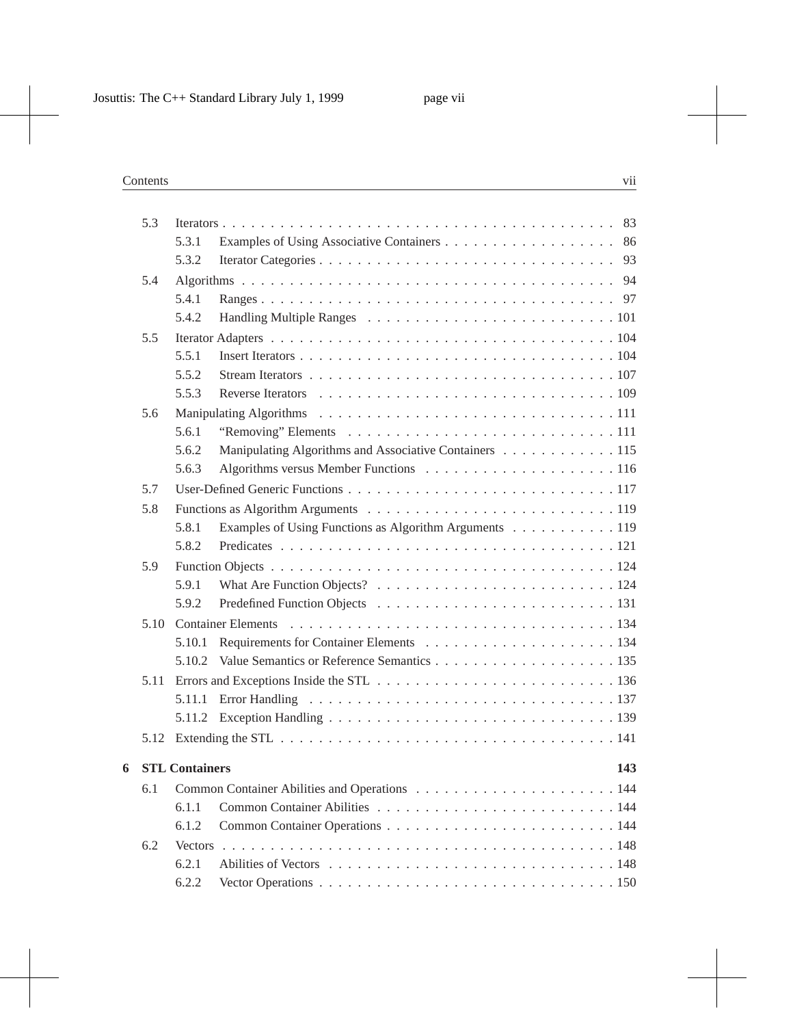|   | 5.3  |                       |                                                                                                                                                 |
|---|------|-----------------------|-------------------------------------------------------------------------------------------------------------------------------------------------|
|   |      | 5.3.1                 |                                                                                                                                                 |
|   |      | 5.3.2                 |                                                                                                                                                 |
|   | 5.4  |                       |                                                                                                                                                 |
|   |      | 5.4.1                 |                                                                                                                                                 |
|   |      | 5.4.2                 |                                                                                                                                                 |
|   | 5.5  |                       |                                                                                                                                                 |
|   |      | 5.5.1                 |                                                                                                                                                 |
|   |      | 5.5.2                 |                                                                                                                                                 |
|   |      | 5.5.3                 |                                                                                                                                                 |
|   | 5.6  |                       |                                                                                                                                                 |
|   |      | 5.6.1                 |                                                                                                                                                 |
|   |      | 5.6.2                 | Manipulating Algorithms and Associative Containers 115                                                                                          |
|   |      | 5.6.3                 |                                                                                                                                                 |
|   | 5.7  |                       |                                                                                                                                                 |
|   | 5.8  |                       |                                                                                                                                                 |
|   |      | 5.8.1                 | Examples of Using Functions as Algorithm Arguments 119                                                                                          |
|   |      | 5.8.2                 |                                                                                                                                                 |
|   | 5.9  |                       |                                                                                                                                                 |
|   |      | 5.9.1                 |                                                                                                                                                 |
|   |      | 5.9.2                 |                                                                                                                                                 |
|   | 5.10 |                       | <b>Container Elements</b>                                                                                                                       |
|   |      | 5.10.1                |                                                                                                                                                 |
|   |      | 5.10.2                |                                                                                                                                                 |
|   | 5.11 |                       |                                                                                                                                                 |
|   |      | 5.11.1                |                                                                                                                                                 |
|   |      |                       |                                                                                                                                                 |
|   |      |                       | 5.12 Extending the STL $\ldots$ $\ldots$ $\ldots$ $\ldots$ $\ldots$ $\ldots$ $\ldots$ $\ldots$ $\ldots$ $\ldots$ $\ldots$ $\ldots$ $\ldots$ 141 |
| 6 |      | <b>STL Containers</b> | 143                                                                                                                                             |
|   | 6.1  |                       |                                                                                                                                                 |
|   |      | 6.1.1                 |                                                                                                                                                 |
|   |      | 6.1.2                 |                                                                                                                                                 |
|   | 6.2  |                       |                                                                                                                                                 |
|   |      | 6.2.1                 |                                                                                                                                                 |
|   |      | 6.2.2                 |                                                                                                                                                 |
|   |      |                       |                                                                                                                                                 |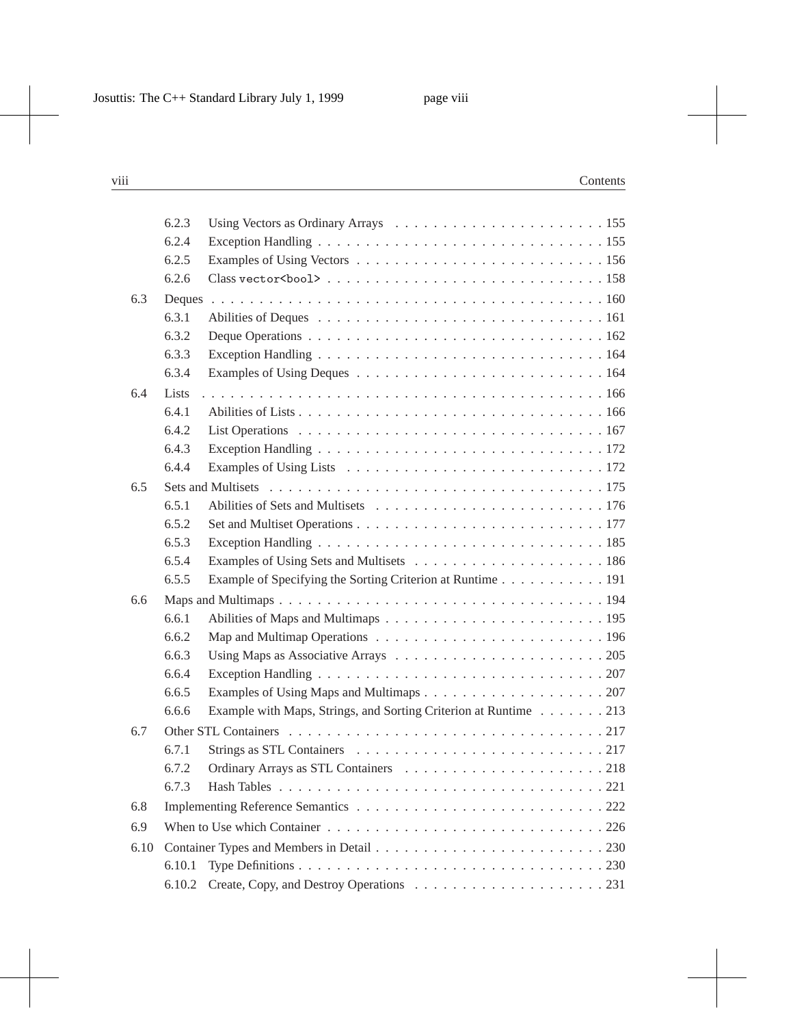|      | 6.2.3  |                                                                  |
|------|--------|------------------------------------------------------------------|
|      | 6.2.4  |                                                                  |
|      | 6.2.5  |                                                                  |
|      | 6.2.6  |                                                                  |
| 6.3  |        |                                                                  |
|      | 6.3.1  |                                                                  |
|      | 6.3.2  |                                                                  |
|      | 6.3.3  |                                                                  |
|      | 6.3.4  |                                                                  |
| 6.4  | Lists  |                                                                  |
|      | 6.4.1  |                                                                  |
|      | 6.4.2  |                                                                  |
|      | 6.4.3  |                                                                  |
|      | 6.4.4  |                                                                  |
| 6.5  |        |                                                                  |
|      | 6.5.1  |                                                                  |
|      | 6.5.2  |                                                                  |
|      | 6.5.3  |                                                                  |
|      | 6.5.4  |                                                                  |
|      | 6.5.5  | Example of Specifying the Sorting Criterion at Runtime 191       |
| 6.6  |        |                                                                  |
|      | 6.6.1  |                                                                  |
|      | 6.6.2  |                                                                  |
|      | 6.6.3  |                                                                  |
|      | 6.6.4  |                                                                  |
|      | 6.6.5  |                                                                  |
|      | 6.6.6  | Example with Maps, Strings, and Sorting Criterion at Runtime 213 |
| 6.7  |        |                                                                  |
|      | 6.7.1  |                                                                  |
|      | 6.7.2  |                                                                  |
|      | 6.7.3  |                                                                  |
| 6.8  |        |                                                                  |
| 6.9  |        |                                                                  |
| 6.10 |        |                                                                  |
|      | 6.10.1 |                                                                  |
|      | 6.10.2 |                                                                  |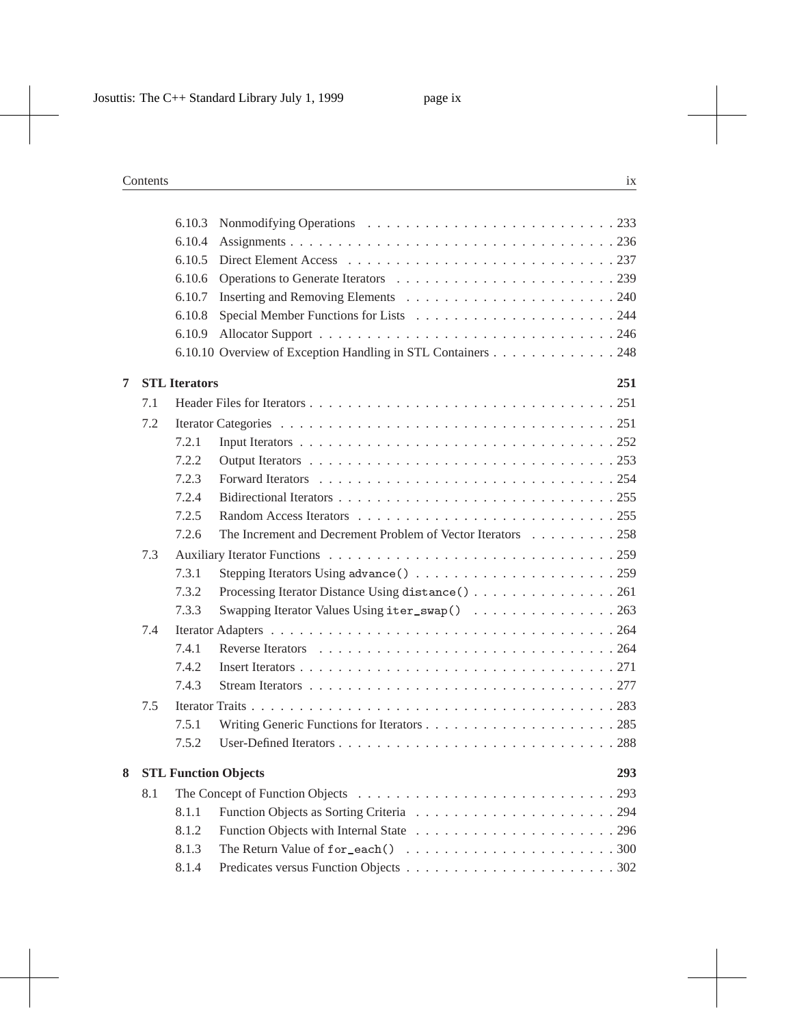|   |     | 6.10.3               |                                                              |     |
|---|-----|----------------------|--------------------------------------------------------------|-----|
|   |     | 6.10.4               |                                                              |     |
|   |     | 6.10.5               |                                                              |     |
|   |     | 6.10.6               |                                                              |     |
|   |     | 6.10.7               |                                                              |     |
|   |     | 6.10.8               |                                                              |     |
|   |     | 6.10.9               |                                                              |     |
|   |     |                      | 6.10.10 Overview of Exception Handling in STL Containers 248 |     |
| 7 |     | <b>STL Iterators</b> |                                                              | 251 |
|   | 7.1 |                      |                                                              |     |
|   | 7.2 |                      |                                                              |     |
|   |     | 7.2.1                |                                                              |     |
|   |     | 7.2.2                |                                                              |     |
|   |     | 7.2.3                |                                                              |     |
|   |     | 7.2.4                |                                                              |     |
|   |     | 7.2.5                |                                                              |     |
|   |     | 7.2.6                | The Increment and Decrement Problem of Vector Iterators 258  |     |
|   | 7.3 |                      |                                                              |     |
|   |     | 7.3.1                |                                                              |     |
|   |     | 7.3.2                | Processing Iterator Distance Using distance () 261           |     |
|   |     | 7.3.3                | Swapping Iterator Values Using iter_swap() 263               |     |
|   | 7.4 |                      |                                                              |     |
|   |     | 7.4.1                |                                                              |     |
|   |     | 7.4.2                |                                                              |     |
|   |     | 7.4.3                |                                                              |     |
|   | 7.5 |                      |                                                              |     |
|   |     | 7.5.1                |                                                              |     |
|   |     | 7.5.2                |                                                              |     |
| 8 |     |                      | <b>STL Function Objects</b>                                  | 293 |
|   | 8.1 |                      |                                                              |     |
|   |     | 8.1.1                |                                                              |     |
|   |     | 8.1.2                |                                                              |     |
|   |     | 8.1.3                |                                                              |     |
|   |     | 8.1.4                |                                                              |     |
|   |     |                      |                                                              |     |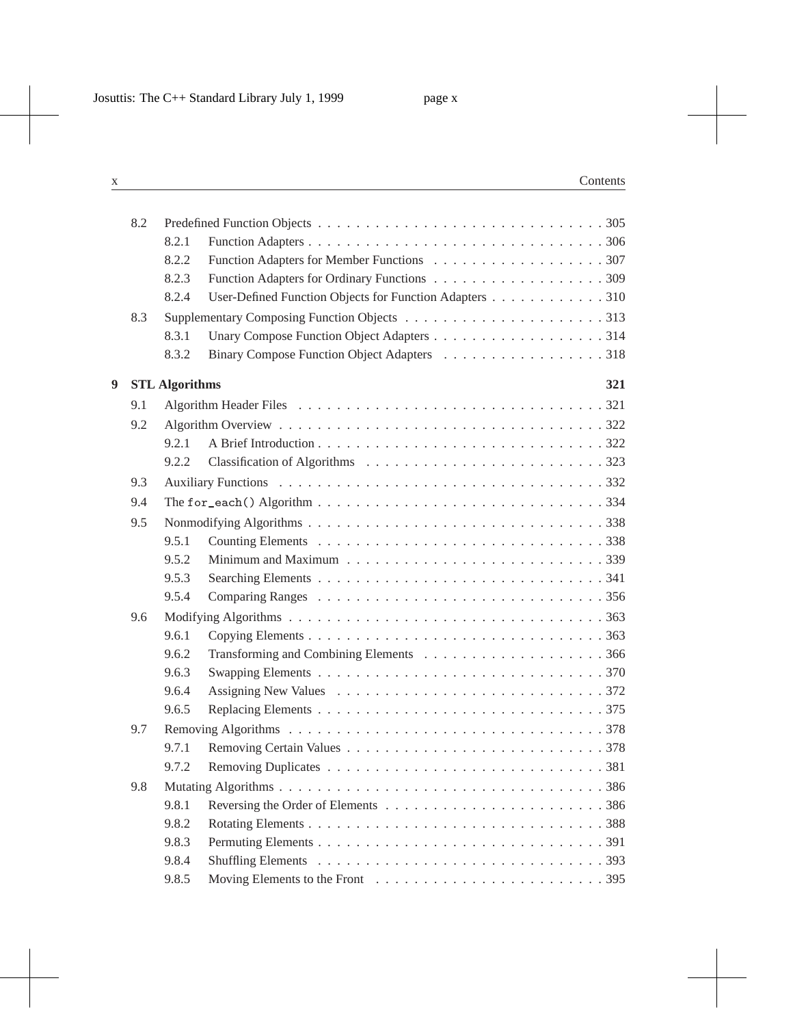|   | 8.2 |                       |                                                                                                          |
|---|-----|-----------------------|----------------------------------------------------------------------------------------------------------|
|   |     | 8.2.1                 |                                                                                                          |
|   |     | 8.2.2                 |                                                                                                          |
|   |     | 8.2.3                 |                                                                                                          |
|   |     | 8.2.4                 | User-Defined Function Objects for Function Adapters 310                                                  |
|   | 8.3 |                       |                                                                                                          |
|   |     | 8.3.1                 |                                                                                                          |
|   |     | 8.3.2                 | Binary Compose Function Object Adapters 318                                                              |
| 9 |     | <b>STL Algorithms</b> | 321                                                                                                      |
|   | 9.1 |                       |                                                                                                          |
|   | 9.2 |                       |                                                                                                          |
|   |     | 9.2.1                 |                                                                                                          |
|   |     | 9.2.2                 |                                                                                                          |
|   | 9.3 |                       |                                                                                                          |
|   | 9.4 |                       | The for $\_each()$ Algorithm $\ldots \ldots \ldots \ldots \ldots \ldots \ldots \ldots \ldots \ldots 334$ |
|   | 9.5 |                       |                                                                                                          |
|   |     | 9.5.1                 |                                                                                                          |
|   |     | 9.5.2                 |                                                                                                          |
|   |     | 9.5.3                 |                                                                                                          |
|   |     | 9.5.4                 |                                                                                                          |
|   | 9.6 |                       |                                                                                                          |
|   |     | 9.6.1                 |                                                                                                          |
|   |     | 9.6.2                 |                                                                                                          |
|   |     | 9.6.3                 |                                                                                                          |
|   |     | 9.6.4                 |                                                                                                          |
|   |     | 9.6.5                 |                                                                                                          |
|   | 9.7 |                       |                                                                                                          |
|   |     | 9.7.1                 |                                                                                                          |
|   |     | 9.7.2                 |                                                                                                          |
|   | 9.8 |                       |                                                                                                          |
|   |     | 9.8.1                 |                                                                                                          |
|   |     | 9.8.2                 |                                                                                                          |
|   |     | 9.8.3                 |                                                                                                          |
|   |     | 9.8.4                 |                                                                                                          |
|   |     | 9.8.5                 |                                                                                                          |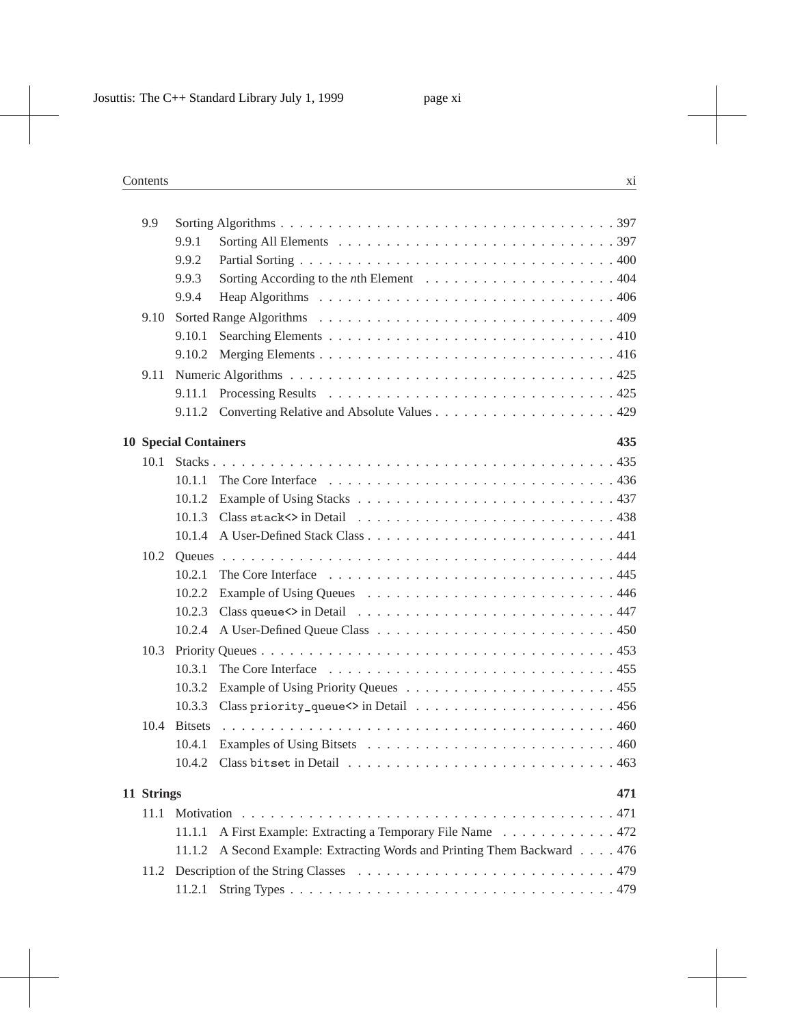| 9.9        |                              |                                                                          |  |
|------------|------------------------------|--------------------------------------------------------------------------|--|
|            | 9.9.1                        |                                                                          |  |
|            | 9.9.2                        |                                                                          |  |
|            | 9.9.3                        |                                                                          |  |
|            | 9.9.4                        |                                                                          |  |
| 9.10       |                              |                                                                          |  |
|            | 9.10.1                       |                                                                          |  |
|            |                              |                                                                          |  |
|            |                              |                                                                          |  |
|            |                              |                                                                          |  |
|            |                              |                                                                          |  |
|            |                              | 435                                                                      |  |
|            | <b>10 Special Containers</b> |                                                                          |  |
| 10.1       |                              |                                                                          |  |
|            | 10.1.1                       |                                                                          |  |
|            | 10.1.2                       |                                                                          |  |
|            |                              |                                                                          |  |
|            |                              |                                                                          |  |
|            |                              |                                                                          |  |
|            | 10.2.1                       |                                                                          |  |
|            | 10.2.2<br>10.2.3             |                                                                          |  |
|            |                              |                                                                          |  |
|            |                              |                                                                          |  |
| 10.3       |                              |                                                                          |  |
|            | 10.3.1                       |                                                                          |  |
|            | 10.3.2                       |                                                                          |  |
|            | 10.3.3                       |                                                                          |  |
| 10.4       |                              |                                                                          |  |
|            | 10.4.1                       |                                                                          |  |
|            |                              |                                                                          |  |
| 11 Strings |                              | 471                                                                      |  |
| 11.1       |                              |                                                                          |  |
|            | 11.1.1                       | A First Example: Extracting a Temporary File Name 472                    |  |
|            |                              | 11.1.2 A Second Example: Extracting Words and Printing Them Backward 476 |  |
| 11.2       |                              |                                                                          |  |
|            | 11.2.1                       |                                                                          |  |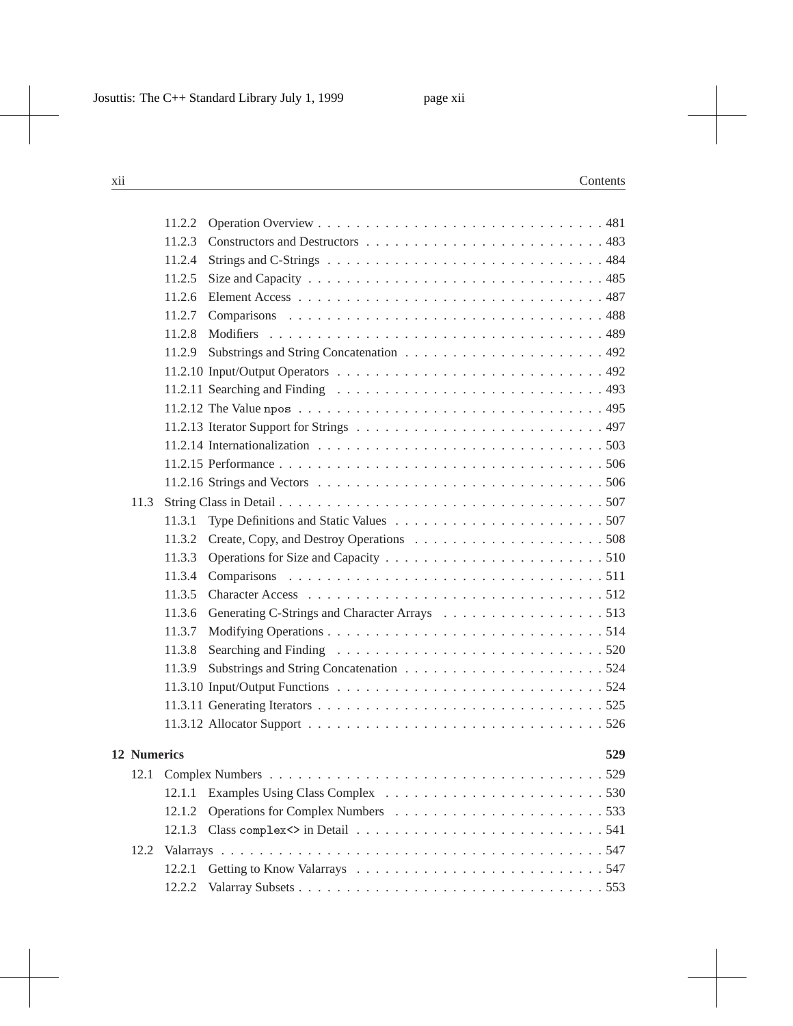|                    | 11.2.3 |                                                                                                              |
|--------------------|--------|--------------------------------------------------------------------------------------------------------------|
|                    | 11.2.4 |                                                                                                              |
|                    | 11.2.5 |                                                                                                              |
|                    | 11.2.6 |                                                                                                              |
|                    | 11.2.7 |                                                                                                              |
|                    | 11.2.8 |                                                                                                              |
|                    | 11.2.9 |                                                                                                              |
|                    |        |                                                                                                              |
|                    |        | 11.2.11 Searching and Finding $\ldots \ldots \ldots \ldots \ldots \ldots \ldots \ldots \ldots \ldots \ldots$ |
|                    |        |                                                                                                              |
|                    |        |                                                                                                              |
|                    |        |                                                                                                              |
|                    |        |                                                                                                              |
|                    |        |                                                                                                              |
| 11.3               |        |                                                                                                              |
|                    | 11.3.1 |                                                                                                              |
|                    | 11.3.2 |                                                                                                              |
|                    | 11.3.3 |                                                                                                              |
|                    | 11.3.4 |                                                                                                              |
|                    |        |                                                                                                              |
|                    | 11.3.6 | Generating C-Strings and Character Arrays 513                                                                |
|                    | 11.3.7 |                                                                                                              |
|                    | 11.3.8 |                                                                                                              |
|                    | 11.3.9 |                                                                                                              |
|                    |        |                                                                                                              |
|                    |        |                                                                                                              |
|                    |        |                                                                                                              |
| <b>12 Numerics</b> |        | 529                                                                                                          |
| 12.1               |        |                                                                                                              |
|                    |        |                                                                                                              |
|                    |        |                                                                                                              |
|                    | 12.1.2 |                                                                                                              |
|                    | 12.1.3 |                                                                                                              |
| 12.2               |        |                                                                                                              |
|                    | 12.2.1 |                                                                                                              |
|                    | 12.2.2 |                                                                                                              |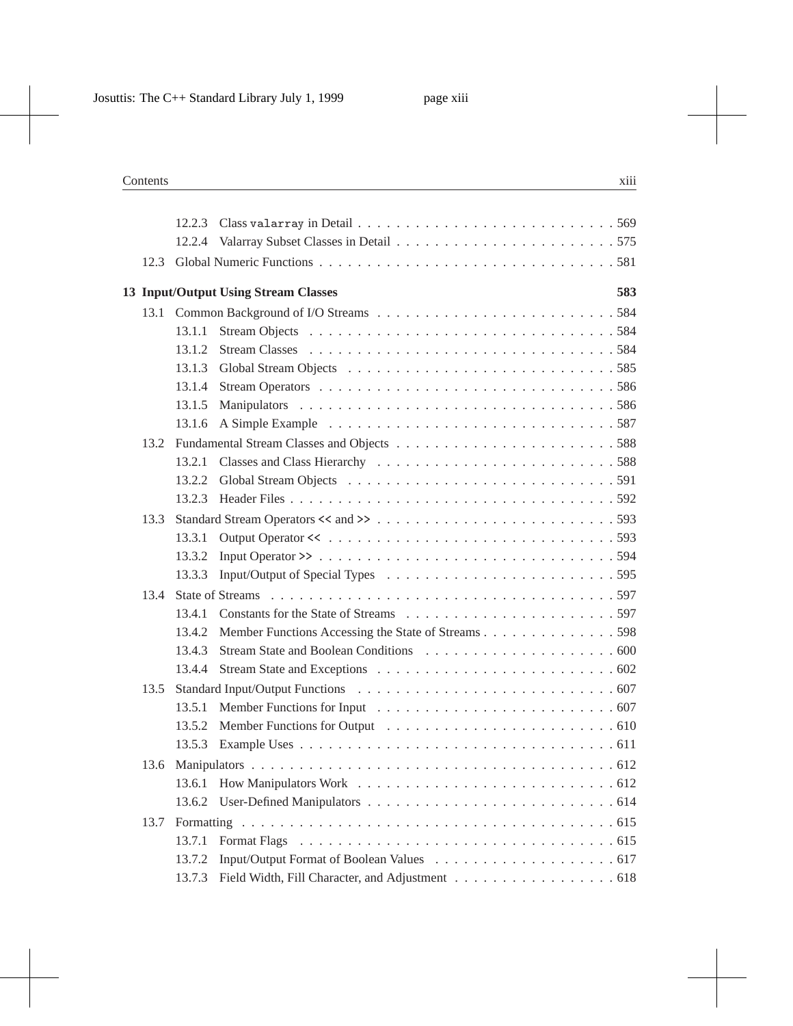| 12.3 |        |                                                        |
|------|--------|--------------------------------------------------------|
|      |        | 583<br><b>13 Input/Output Using Stream Classes</b>     |
|      |        |                                                        |
|      | 13.1.1 |                                                        |
|      | 13.1.2 |                                                        |
|      | 13.1.3 |                                                        |
|      | 13.1.4 |                                                        |
|      | 13.1.5 |                                                        |
|      | 13.1.6 |                                                        |
| 13.2 |        |                                                        |
|      | 13.2.1 |                                                        |
|      | 13.2.2 |                                                        |
|      |        |                                                        |
| 13.3 |        |                                                        |
|      | 13.3.1 |                                                        |
|      | 13.3.2 |                                                        |
|      | 13.3.3 |                                                        |
| 13.4 |        |                                                        |
|      | 13.4.1 |                                                        |
|      | 13.4.2 | Member Functions Accessing the State of Streams 598    |
|      | 13.4.3 |                                                        |
|      | 13.4.4 |                                                        |
| 13.5 |        |                                                        |
|      | 13.5.1 |                                                        |
|      | 13.5.2 |                                                        |
|      |        |                                                        |
| 13.6 |        |                                                        |
|      | 13.6.1 |                                                        |
|      |        |                                                        |
| 13.7 |        |                                                        |
|      | 13.7.1 |                                                        |
|      | 13.7.2 |                                                        |
|      |        | 13.7.3 Field Width, Fill Character, and Adjustment 618 |
|      |        |                                                        |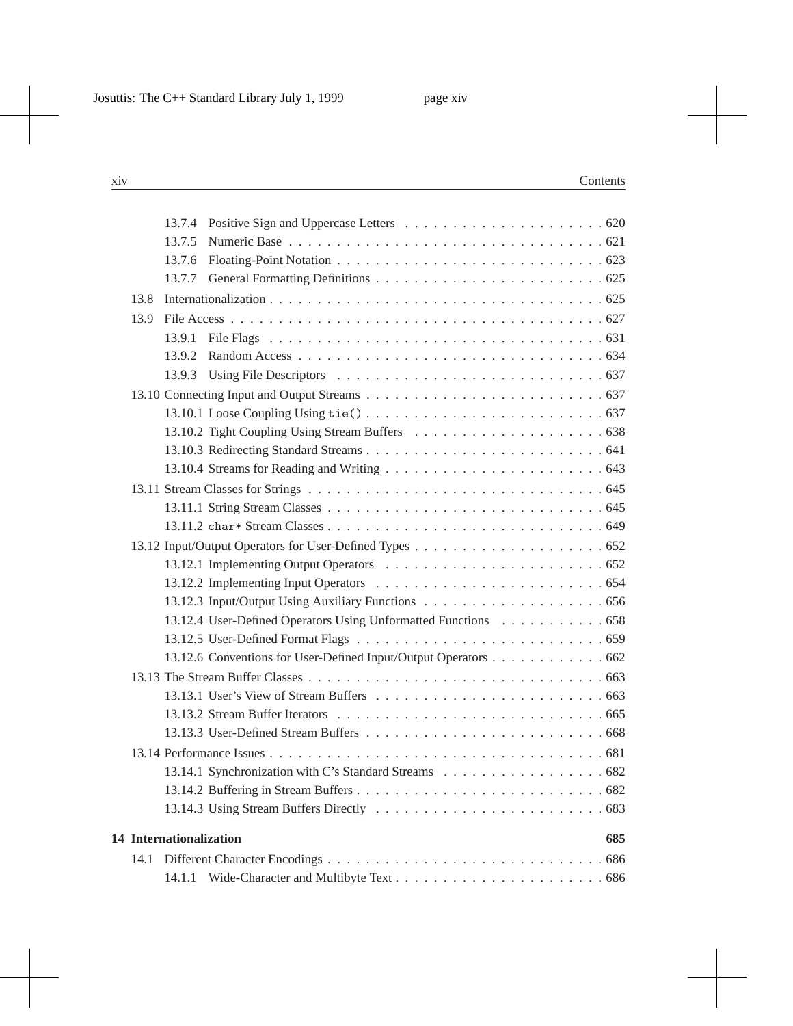| 13.8 |                         |                                                                 |
|------|-------------------------|-----------------------------------------------------------------|
| 13.9 |                         |                                                                 |
|      | 13.9.1                  |                                                                 |
|      | 13.9.2                  |                                                                 |
|      |                         |                                                                 |
|      |                         |                                                                 |
|      |                         |                                                                 |
|      |                         |                                                                 |
|      |                         |                                                                 |
|      |                         |                                                                 |
|      |                         |                                                                 |
|      |                         |                                                                 |
|      |                         |                                                                 |
|      |                         |                                                                 |
|      |                         |                                                                 |
|      |                         |                                                                 |
|      |                         |                                                                 |
|      |                         | 13.12.4 User-Defined Operators Using Unformatted Functions 658  |
|      |                         |                                                                 |
|      |                         | 13.12.6 Conventions for User-Defined Input/Output Operators 662 |
|      |                         |                                                                 |
|      |                         |                                                                 |
|      |                         |                                                                 |
|      |                         |                                                                 |
|      |                         |                                                                 |
|      |                         |                                                                 |
|      |                         |                                                                 |
|      |                         |                                                                 |
|      | 14 Internationalization | 685                                                             |
|      |                         |                                                                 |
|      | 14.1.1                  |                                                                 |
|      |                         |                                                                 |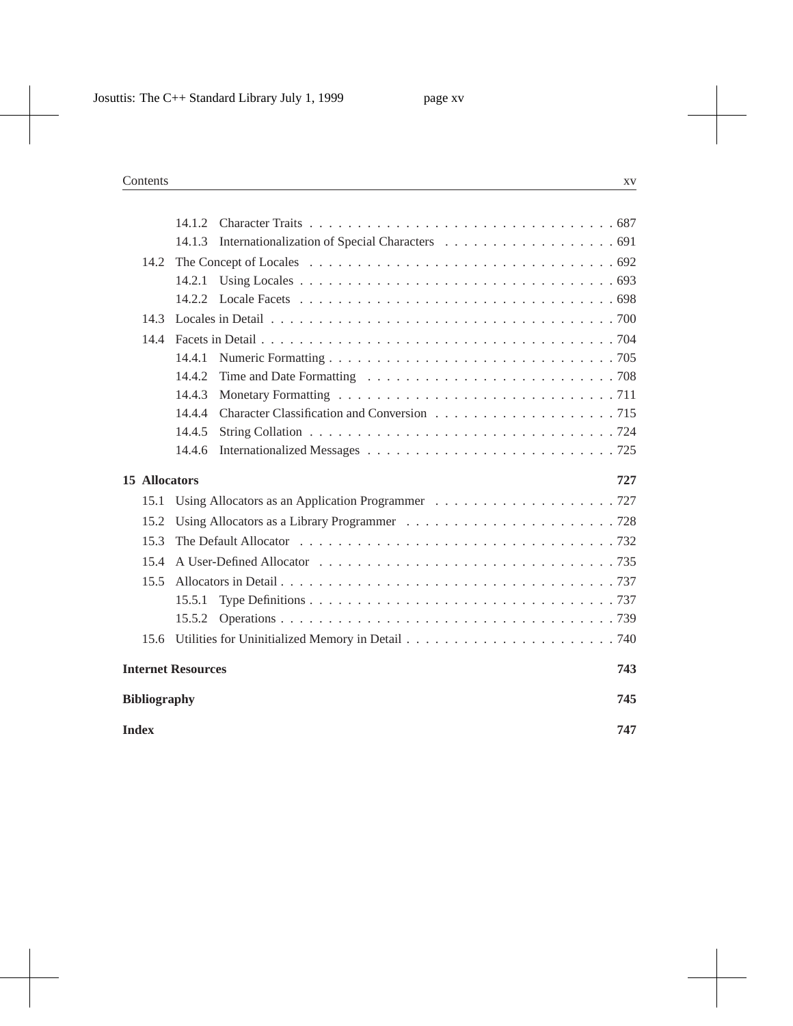|                           | 14.1.2 |     |
|---------------------------|--------|-----|
|                           |        |     |
|                           |        |     |
|                           |        |     |
|                           |        |     |
| 14.3                      |        |     |
| 14.4                      |        |     |
|                           | 14.4.1 |     |
|                           | 14.4.2 |     |
|                           | 14.4.3 |     |
|                           | 14.4.4 |     |
|                           | 14.4.5 |     |
|                           |        |     |
| 15 Allocators             |        | 727 |
| 15.1                      |        |     |
| 15.2                      |        |     |
| 15.3                      |        |     |
| 15.4                      |        |     |
| 15.5                      |        |     |
|                           | 15.5.1 |     |
|                           |        |     |
|                           |        |     |
| <b>Internet Resources</b> |        | 743 |
| <b>Bibliography</b>       |        | 745 |
| <b>Index</b>              |        | 747 |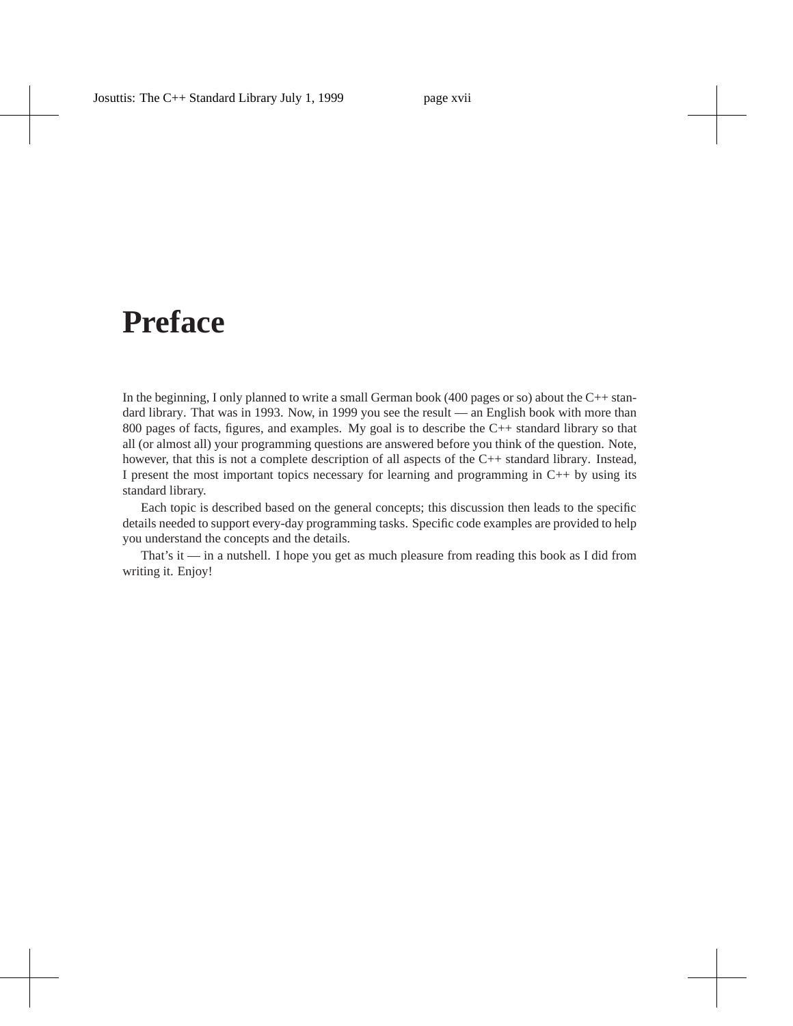# **Preface**

In the beginning, I only planned to write a small German book (400 pages or so) about the  $C++$  standard library. That was in 1993. Now, in 1999 you see the result — an English book with more than 800 pages of facts, figures, and examples. My goal is to describe the C++ standard library so that all (or almost all) your programming questions are answered before you think of the question. Note, however, that this is not a complete description of all aspects of the C++ standard library. Instead, I present the most important topics necessary for learning and programming in C++ by using its standard library.

Each topic is described based on the general concepts; this discussion then leads to the specific details needed to support every-day programming tasks. Specific code examples are provided to help you understand the concepts and the details.

That's it — in a nutshell. I hope you get as much pleasure from reading this book as I did from writing it. Enjoy!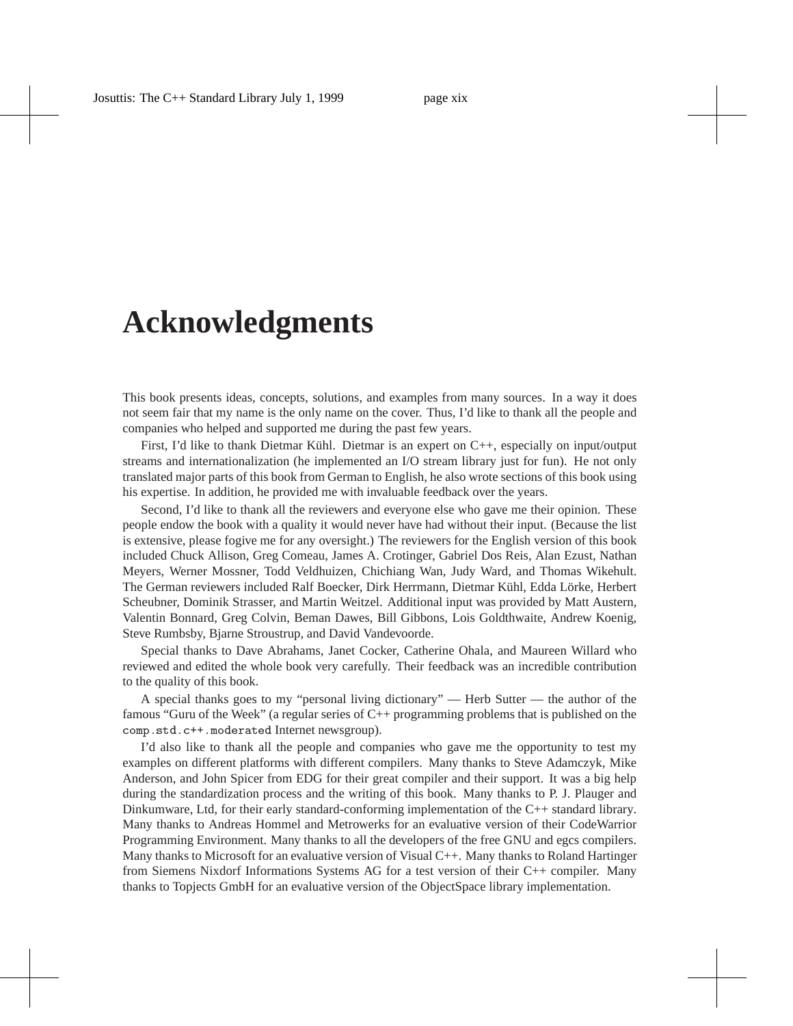# **Acknowledgments**

This book presents ideas, concepts, solutions, and examples from many sources. In a way it does not seem fair that my name is the only name on the cover. Thus, I'd like to thank all the people and companies who helped and supported me during the past few years.

First, I'd like to thank Dietmar Kühl. Dietmar is an expert on C++, especially on input/output streams and internationalization (he implemented an I/O stream library just for fun). He not only translated major parts of this book from German to English, he also wrote sections of this book using his expertise. In addition, he provided me with invaluable feedback over the years.

Second, I'd like to thank all the reviewers and everyone else who gave me their opinion. These people endow the book with a quality it would never have had without their input. (Because the list is extensive, please fogive me for any oversight.) The reviewers for the English version of this book included Chuck Allison, Greg Comeau, James A. Crotinger, Gabriel Dos Reis, Alan Ezust, Nathan Meyers, Werner Mossner, Todd Veldhuizen, Chichiang Wan, Judy Ward, and Thomas Wikehult. The German reviewers included Ralf Boecker, Dirk Herrmann, Dietmar Kühl, Edda Lörke, Herbert Scheubner, Dominik Strasser, and Martin Weitzel. Additional input was provided by Matt Austern, Valentin Bonnard, Greg Colvin, Beman Dawes, Bill Gibbons, Lois Goldthwaite, Andrew Koenig, Steve Rumbsby, Bjarne Stroustrup, and David Vandevoorde.

Special thanks to Dave Abrahams, Janet Cocker, Catherine Ohala, and Maureen Willard who reviewed and edited the whole book very carefully. Their feedback was an incredible contribution to the quality of this book.

A special thanks goes to my "personal living dictionary" — Herb Sutter — the author of the famous "Guru of the Week" (a regular series of C++ programming problems that is published on the comp.std.c++.moderated Internet newsgroup).

I'd also like to thank all the people and companies who gave me the opportunity to test my examples on different platforms with different compilers. Many thanks to Steve Adamczyk, Mike Anderson, and John Spicer from EDG for their great compiler and their support. It was a big help during the standardization process and the writing of this book. Many thanks to P. J. Plauger and Dinkumware, Ltd, for their early standard-conforming implementation of the C++ standard library. Many thanks to Andreas Hommel and Metrowerks for an evaluative version of their CodeWarrior Programming Environment. Many thanks to all the developers of the free GNU and egcs compilers. Many thanks to Microsoft for an evaluative version of Visual C++. Many thanks to Roland Hartinger from Siemens Nixdorf Informations Systems AG for a test version of their C++ compiler. Many thanks to Topjects GmbH for an evaluative version of the ObjectSpace library implementation.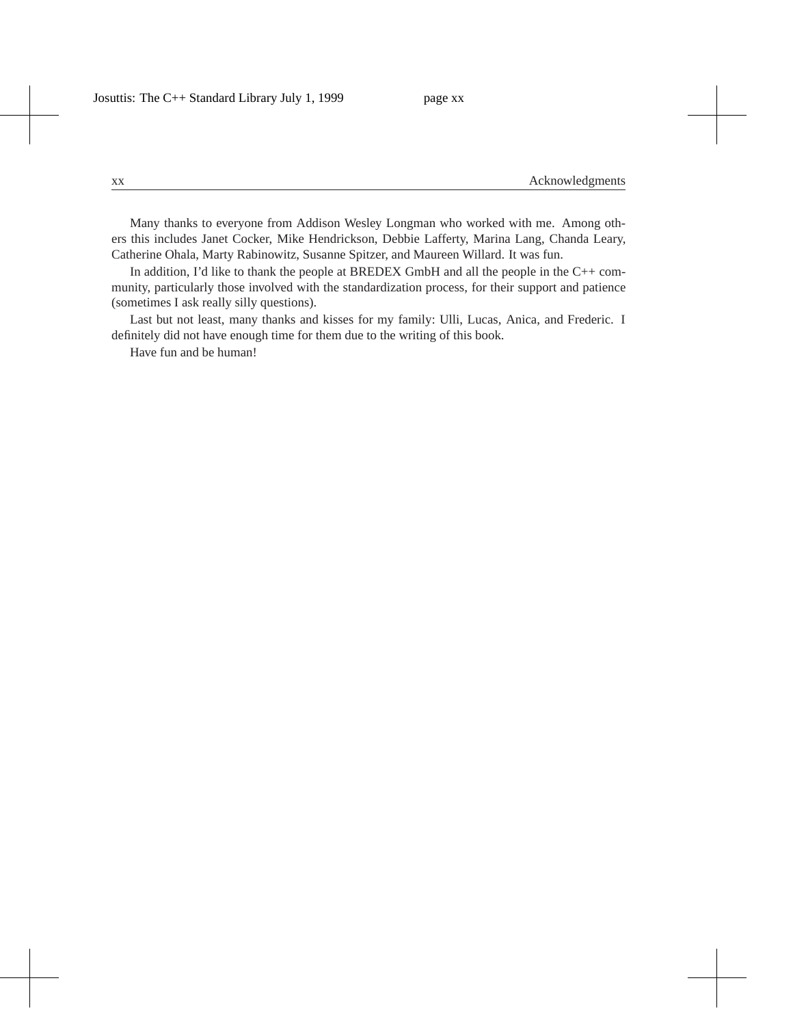Many thanks to everyone from Addison Wesley Longman who worked with me. Among others this includes Janet Cocker, Mike Hendrickson, Debbie Lafferty, Marina Lang, Chanda Leary, Catherine Ohala, Marty Rabinowitz, Susanne Spitzer, and Maureen Willard. It was fun.

In addition, I'd like to thank the people at BREDEX GmbH and all the people in the  $C++$  community, particularly those involved with the standardization process, for their support and patience (sometimes I ask really silly questions).

Last but not least, many thanks and kisses for my family: Ulli, Lucas, Anica, and Frederic. I definitely did not have enough time for them due to the writing of this book.

Have fun and be human!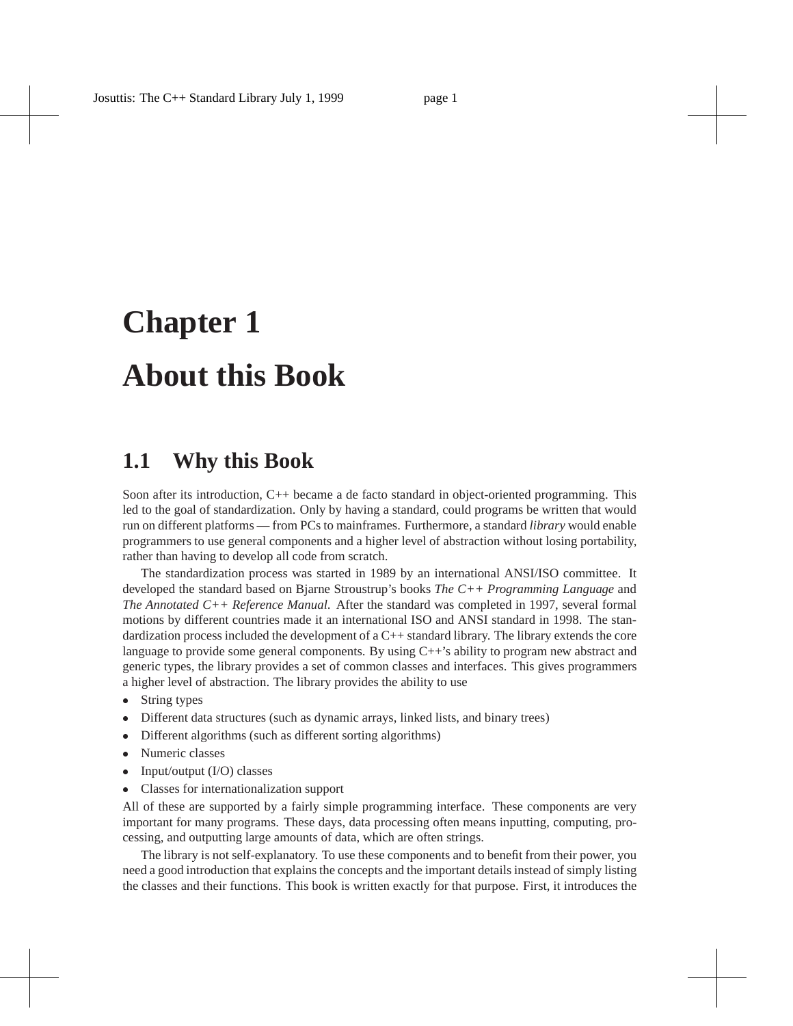# **Chapter 1 About this Book**

## **1.1 Why this Book**

Soon after its introduction, C++ became a de facto standard in object-oriented programming. This led to the goal of standardization. Only by having a standard, could programs be written that would run on different platforms — from PCs to mainframes. Furthermore, a standard *library* would enable programmers to use general components and a higher level of abstraction without losing portability, rather than having to develop all code from scratch.

The standardization process was started in 1989 by an international ANSI/ISO committee. It developed the standard based on Bjarne Stroustrup's books *The C++ Programming Language* and *The Annotated C++ Reference Manual*. After the standard was completed in 1997, several formal motions by different countries made it an international ISO and ANSI standard in 1998. The standardization process included the development of a C++ standard library. The library extends the core language to provide some general components. By using C++'s ability to program new abstract and generic types, the library provides a set of common classes and interfaces. This gives programmers a higher level of abstraction. The library provides the ability to use

- String types
- Different data structures (such as dynamic arrays, linked lists, and binary trees)
- $\bullet$ Different algorithms (such as different sorting algorithms)
- Numeric classes  $\bullet$
- Input/output (I/O) classes
- Classes for internationalization support

All of these are supported by a fairly simple programming interface. These components are very important for many programs. These days, data processing often means inputting, computing, processing, and outputting large amounts of data, which are often strings.

The library is not self-explanatory. To use these components and to benefit from their power, you need a good introduction that explains the concepts and the important details instead of simply listing the classes and their functions. This book is written exactly for that purpose. First, it introduces the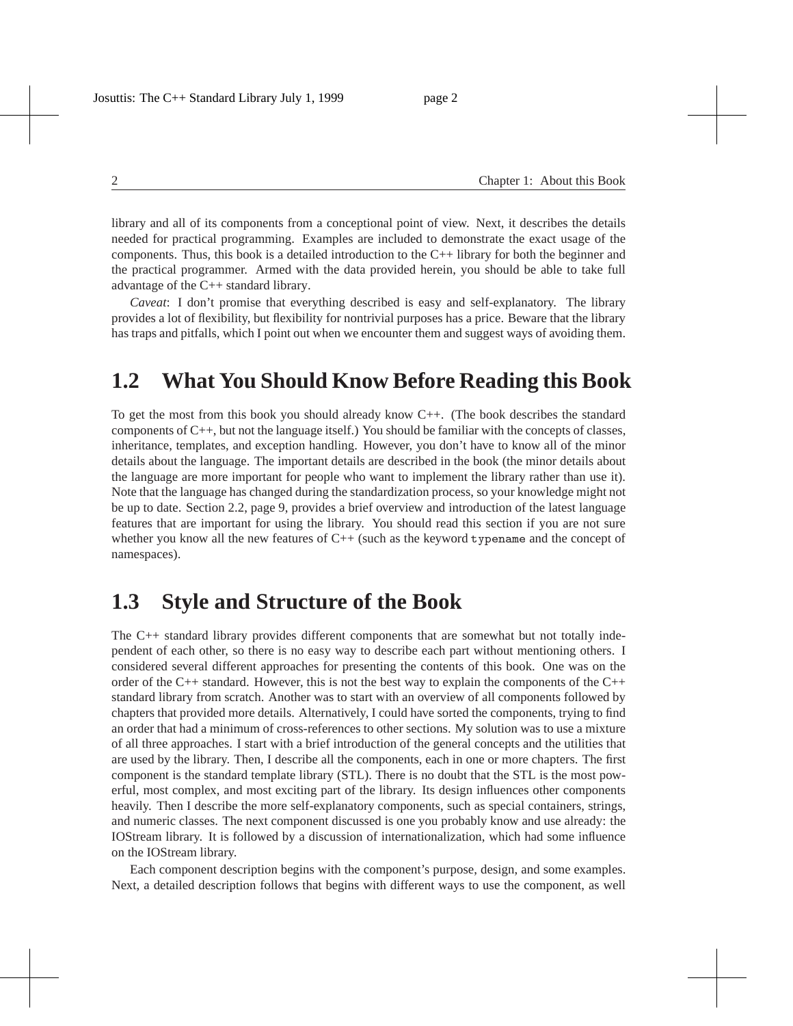library and all of its components from a conceptional point of view. Next, it describes the details needed for practical programming. Examples are included to demonstrate the exact usage of the components. Thus, this book is a detailed introduction to the  $C_{++}$  library for both the beginner and the practical programmer. Armed with the data provided herein, you should be able to take full advantage of the C++ standard library.

*Caveat*: I don't promise that everything described is easy and self-explanatory. The library provides a lot of flexibility, but flexibility for nontrivial purposes has a price. Beware that the library has traps and pitfalls, which I point out when we encounter them and suggest ways of avoiding them.

## **1.2 What You Should Know Before Reading this Book**

To get the most from this book you should already know C++. (The book describes the standard components of C++, but not the language itself.) You should be familiar with the concepts of classes, inheritance, templates, and exception handling. However, you don't have to know all of the minor details about the language. The important details are described in the book (the minor details about the language are more important for people who want to implement the library rather than use it). Note that the language has changed during the standardization process, so your knowledge might not be up to date. Section 2.2, page 9, provides a brief overview and introduction of the latest language features that are important for using the library. You should read this section if you are not sure whether you know all the new features of  $C++$  (such as the keyword typename and the concept of namespaces).

### **1.3 Style and Structure of the Book**

The C++ standard library provides different components that are somewhat but not totally independent of each other, so there is no easy way to describe each part without mentioning others. I considered several different approaches for presenting the contents of this book. One was on the order of the C++ standard. However, this is not the best way to explain the components of the C++ standard library from scratch. Another was to start with an overview of all components followed by chapters that provided more details. Alternatively, I could have sorted the components, trying to find an order that had a minimum of cross-references to other sections. My solution was to use a mixture of all three approaches. I start with a brief introduction of the general concepts and the utilities that are used by the library. Then, I describe all the components, each in one or more chapters. The first component is the standard template library (STL). There is no doubt that the STL is the most powerful, most complex, and most exciting part of the library. Its design influences other components heavily. Then I describe the more self-explanatory components, such as special containers, strings, and numeric classes. The next component discussed is one you probably know and use already: the IOStream library. It is followed by a discussion of internationalization, which had some influence on the IOStream library.

Each component description begins with the component's purpose, design, and some examples. Next, a detailed description follows that begins with different ways to use the component, as well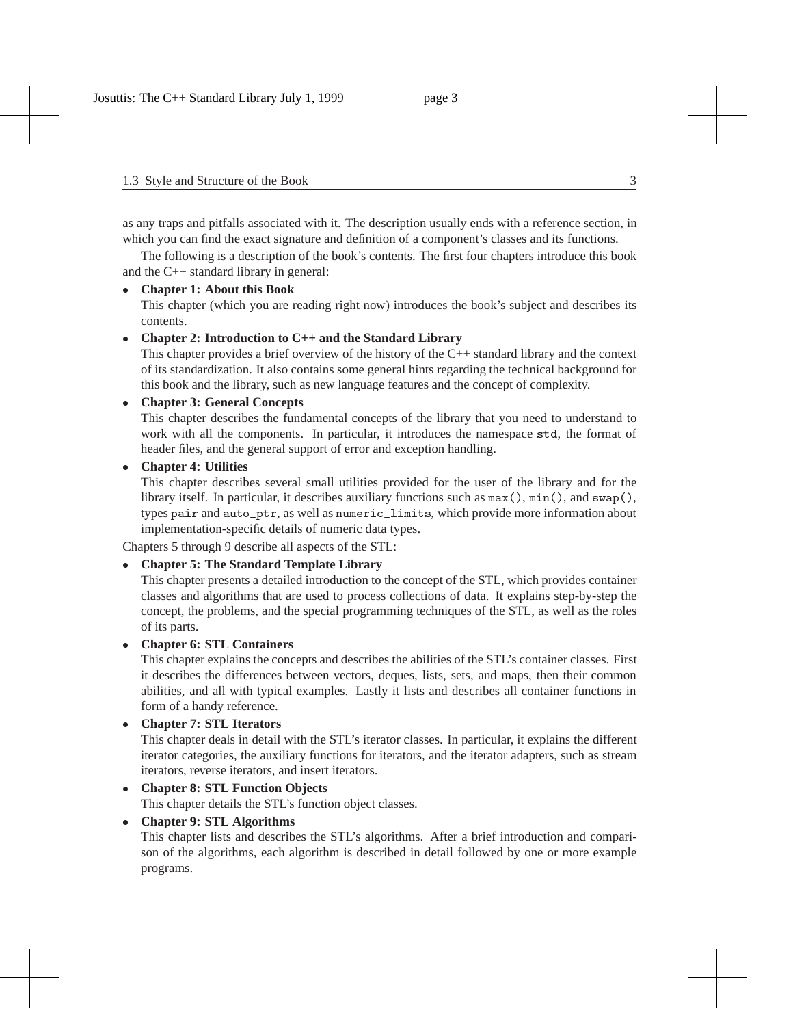as any traps and pitfalls associated with it. The description usually ends with a reference section, in which you can find the exact signature and definition of a component's classes and its functions.

The following is a description of the book's contents. The first four chapters introduce this book and the C++ standard library in general:

#### **Chapter 1: About this Book**

This chapter (which you are reading right now) introduces the book's subject and describes its contents.

#### **Chapter 2: Introduction to C++ and the Standard Library**

This chapter provides a brief overview of the history of the C++ standard library and the context of its standardization. It also contains some general hints regarding the technical background for this book and the library, such as new language features and the concept of complexity.

#### **Chapter 3: General Concepts**

This chapter describes the fundamental concepts of the library that you need to understand to work with all the components. In particular, it introduces the namespace std, the format of header files, and the general support of error and exception handling.

#### **Chapter 4: Utilities**

This chapter describes several small utilities provided for the user of the library and for the library itself. In particular, it describes auxiliary functions such as max(), min(), and swap(), types pair and auto\_ptr, as well as numeric\_limits, which provide more information about implementation-specific details of numeric data types.

Chapters 5 through 9 describe all aspects of the STL:

#### **Chapter 5: The Standard Template Library**

This chapter presents a detailed introduction to the concept of the STL, which provides container classes and algorithms that are used to process collections of data. It explains step-by-step the concept, the problems, and the special programming techniques of the STL, as well as the roles of its parts.

#### **Chapter 6: STL Containers**

This chapter explains the concepts and describes the abilities of the STL's container classes. First it describes the differences between vectors, deques, lists, sets, and maps, then their common abilities, and all with typical examples. Lastly it lists and describes all container functions in form of a handy reference.

#### **Chapter 7: STL Iterators**

This chapter deals in detail with the STL's iterator classes. In particular, it explains the different iterator categories, the auxiliary functions for iterators, and the iterator adapters, such as stream iterators, reverse iterators, and insert iterators.

#### **Chapter 8: STL Function Objects**

This chapter details the STL's function object classes.

#### **Chapter 9: STL Algorithms**

This chapter lists and describes the STL's algorithms. After a brief introduction and comparison of the algorithms, each algorithm is described in detail followed by one or more example programs.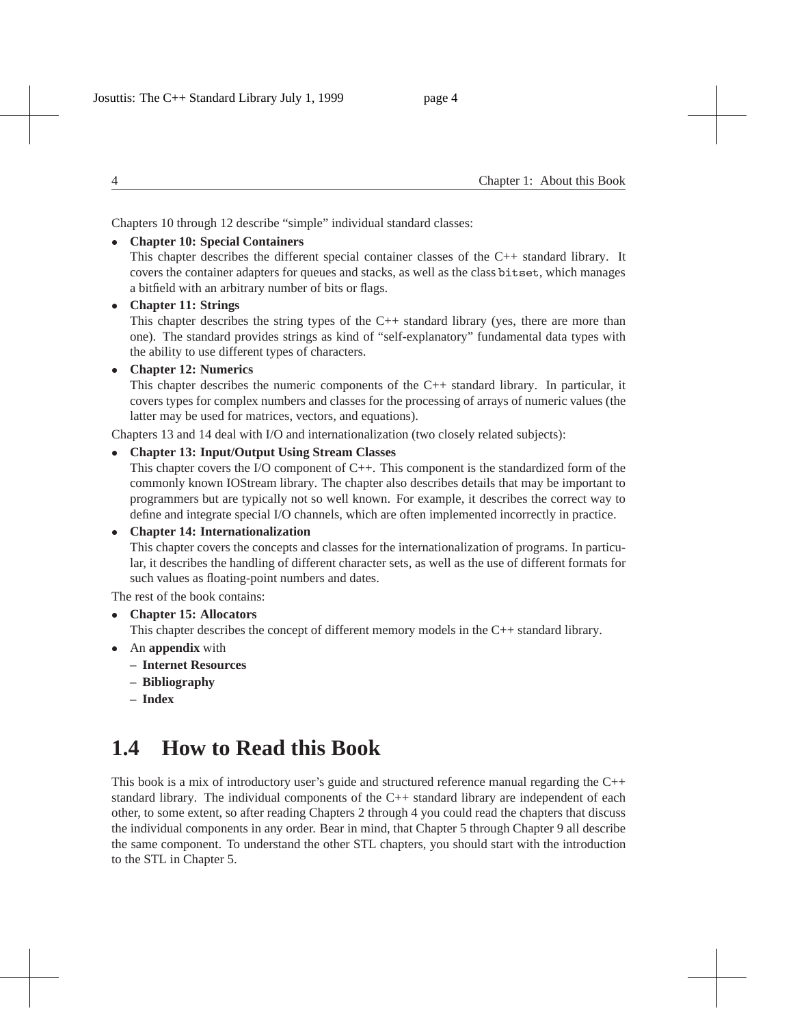Chapters 10 through 12 describe "simple" individual standard classes:

#### **Chapter 10: Special Containers**

This chapter describes the different special container classes of the C++ standard library. It covers the container adapters for queues and stacks, as well as the class bitset, which manages a bitfield with an arbitrary number of bits or flags.

#### **Chapter 11: Strings**

This chapter describes the string types of the C++ standard library (yes, there are more than one). The standard provides strings as kind of "self-explanatory" fundamental data types with the ability to use different types of characters.

#### **Chapter 12: Numerics**

This chapter describes the numeric components of the C++ standard library. In particular, it covers types for complex numbers and classes for the processing of arrays of numeric values (the latter may be used for matrices, vectors, and equations).

Chapters 13 and 14 deal with I/O and internationalization (two closely related subjects):

#### **Chapter 13: Input/Output Using Stream Classes**

This chapter covers the I/O component of C++. This component is the standardized form of the commonly known IOStream library. The chapter also describes details that may be important to programmers but are typically not so well known. For example, it describes the correct way to define and integrate special I/O channels, which are often implemented incorrectly in practice.

#### **Chapter 14: Internationalization**

This chapter covers the concepts and classes for the internationalization of programs. In particular, it describes the handling of different character sets, as well as the use of different formats for such values as floating-point numbers and dates.

The rest of the book contains:

**Chapter 15: Allocators**

This chapter describes the concept of different memory models in the C++ standard library.

- An **appendix** with
	- **Internet Resources**
	- **Bibliography**
	- **Index**

## **1.4 How to Read this Book**

This book is a mix of introductory user's guide and structured reference manual regarding the C++ standard library. The individual components of the C++ standard library are independent of each other, to some extent, so after reading Chapters 2 through 4 you could read the chapters that discuss the individual components in any order. Bear in mind, that Chapter 5 through Chapter 9 all describe the same component. To understand the other STL chapters, you should start with the introduction to the STL in Chapter 5.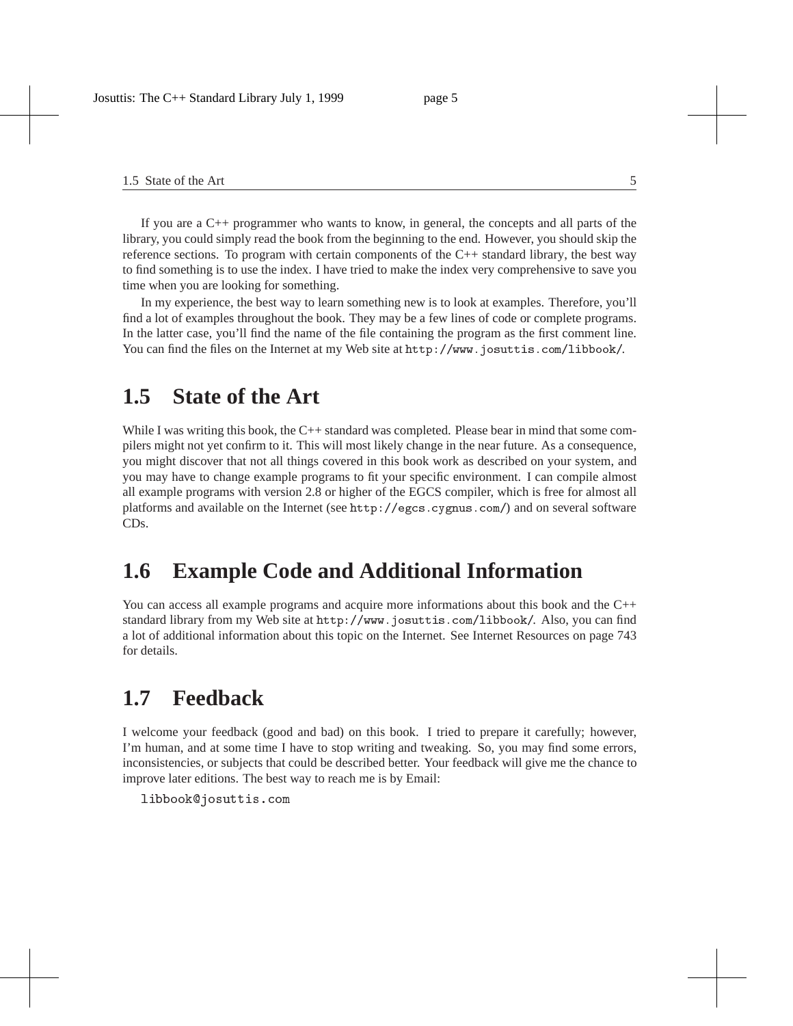If you are a C++ programmer who wants to know, in general, the concepts and all parts of the library, you could simply read the book from the beginning to the end. However, you should skip the reference sections. To program with certain components of the  $C++$  standard library, the best way to find something is to use the index. I have tried to make the index very comprehensive to save you time when you are looking for something.

In my experience, the best way to learn something new is to look at examples. Therefore, you'll find a lot of examples throughout the book. They may be a few lines of code or complete programs. In the latter case, you'll find the name of the file containing the program as the first comment line. You can find the files on the Internet at my Web site at http://www.josuttis.com/libbook/.

## **1.5 State of the Art**

While I was writing this book, the C++ standard was completed. Please bear in mind that some compilers might not yet confirm to it. This will most likely change in the near future. As a consequence, you might discover that not all things covered in this book work as described on your system, and you may have to change example programs to fit your specific environment. I can compile almost all example programs with version 2.8 or higher of the EGCS compiler, which is free for almost all platforms and available on the Internet (see http://egcs.cygnus.com/) and on several software CDs.

## **1.6 Example Code and Additional Information**

You can access all example programs and acquire more informations about this book and the C++ standard library from my Web site at http://www.josuttis.com/libbook/. Also, you can find a lot of additional information about this topic on the Internet. See Internet Resources on page 743 for details.

## **1.7 Feedback**

I welcome your feedback (good and bad) on this book. I tried to prepare it carefully; however, I'm human, and at some time I have to stop writing and tweaking. So, you may find some errors, inconsistencies, or subjects that could be described better. Your feedback will give me the chance to improve later editions. The best way to reach me is by Email:

```
libbook@josuttis.com
```